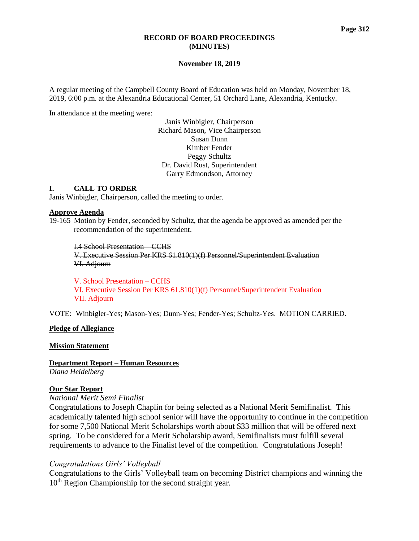#### **RECORD OF BOARD PROCEEDINGS (MINUTES)**

#### **November 18, 2019**

A regular meeting of the Campbell County Board of Education was held on Monday, November 18, 2019, 6:00 p.m. at the Alexandria Educational Center, 51 Orchard Lane, Alexandria, Kentucky.

In attendance at the meeting were:

Janis Winbigler, Chairperson Richard Mason, Vice Chairperson Susan Dunn Kimber Fender Peggy Schultz Dr. David Rust, Superintendent Garry Edmondson, Attorney

#### **I. CALL TO ORDER**

Janis Winbigler, Chairperson, called the meeting to order.

#### **Approve Agenda**

19-165 Motion by Fender, seconded by Schultz, that the agenda be approved as amended per the recommendation of the superintendent.

I.4 School Presentation – CCHS

V. Executive Session Per KRS 61.810(1)(f) Personnel/Superintendent Evaluation VI. Adjourn

V. School Presentation – CCHS VI. Executive Session Per KRS 61.810(1)(f) Personnel/Superintendent Evaluation VII. Adjourn

VOTE: Winbigler-Yes; Mason-Yes; Dunn-Yes; Fender-Yes; Schultz-Yes. MOTION CARRIED.

### **Pledge of Allegiance**

**Mission Statement**

**Department Report – Human Resources** *Diana Heidelberg*

## **Our Star Report**

### *National Merit Semi Finalist*

Congratulations to Joseph Chaplin for being selected as a National Merit Semifinalist. This academically talented high school senior will have the opportunity to continue in the competition for some 7,500 National Merit Scholarships worth about \$33 million that will be offered next spring. To be considered for a Merit Scholarship award, Semifinalists must fulfill several requirements to advance to the Finalist level of the competition. Congratulations Joseph!

### *Congratulations Girls' Volleyball*

Congratulations to the Girls' Volleyball team on becoming District champions and winning the 10<sup>th</sup> Region Championship for the second straight year.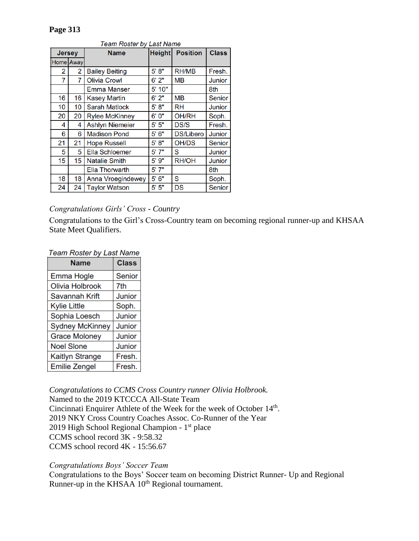# **Page 313**

| <b>Jersey</b> |    | <b>Name</b>                    | <b>Height</b> | <b>Position</b>  | <b>Class</b>  |
|---------------|----|--------------------------------|---------------|------------------|---------------|
| Home Away     |    |                                |               |                  |               |
| 2             | 2  | <b>Bailey Beiting</b>          | 5' 8''        | <b>RH/MB</b>     | Fresh.        |
| 7             | 7  | <b>Olivia Crowl</b>            | 6'2"          | MВ               | <b>Junior</b> |
|               |    | <b>Emma Manser</b>             | 5'10"         |                  | 8th           |
| 16            | 16 | <b>Kasey Martin</b>            | 6'2"          | <b>MB</b>        | <b>Senior</b> |
| 10            | 10 | 5' 8''<br><b>Sarah Matlock</b> |               | <b>RH</b>        | Junior        |
| 20            | 20 | <b>Rylee McKinney</b>          | 6'0''         | <b>OH/RH</b>     | Soph.         |
| 4             | 4  | <b>Ashlyn Niemeier</b>         | 5' 5''        | <b>DS/S</b>      | Fresh.        |
| 6             | 6  | <b>Madison Pond</b>            | 5'6''         | <b>DS/Libero</b> | Junior        |
| 21            | 21 | <b>Hope Russell</b>            | 5' 8''        | OH/DS            | Senior        |
| 5             | 5  | <b>Ella Schloemer</b>          | 5'7"          | S                | Junior        |
| 15            | 15 | <b>Natalie Smith</b>           | 5'9''         | <b>RH/OH</b>     | <b>Junior</b> |
|               |    | <b>Ella Thorwarth</b>          | 5'7"          |                  | 8th           |
| 18            | 18 | <b>Anna Vroegindewey</b>       | 5'6''         | S                | Soph.         |
| 24            | 24 | <b>Taylor Watson</b>           | 5'5''         | <b>DS</b>        | Senior        |

# Toom Pooter by Loot No

## *Congratulations Girls' Cross - Country*

Congratulations to the Girl's Cross-Country team on becoming regional runner-up and KHSAA State Meet Qualifiers.

**Team Roster by Last Name** 

| Name                   | <b>Class</b>  |
|------------------------|---------------|
| Emma Hogle             | <b>Senior</b> |
| <b>Olivia Holbrook</b> | 7th           |
| <b>Savannah Krift</b>  | Junior        |
| Kylie Little           | Soph.         |
| Sophia Loesch          | Junior        |
| <b>Sydney McKinney</b> | Junior        |
| <b>Grace Moloney</b>   | Junior        |
| <b>Noel Slone</b>      | Junior        |
| Kaitlyn Strange        | Fresh.        |
| <b>Emilie Zengel</b>   | Fresh.        |

*Congratulations to CCMS Cross Country runner Olivia Holbrook.* Named to the 2019 KTCCCA All-State Team Cincinnati Enquirer Athlete of the Week for the week of October 14<sup>th</sup>. 2019 NKY Cross Country Coaches Assoc. Co-Runner of the Year 2019 High School Regional Champion - 1<sup>st</sup> place CCMS school record 3K - 9:58.32 CCMS school record 4K - 15:56.67

## *Congratulations Boys' Soccer Team*

Congratulations to the Boys' Soccer team on becoming District Runner- Up and Regional Runner-up in the KHSAA 10<sup>th</sup> Regional tournament.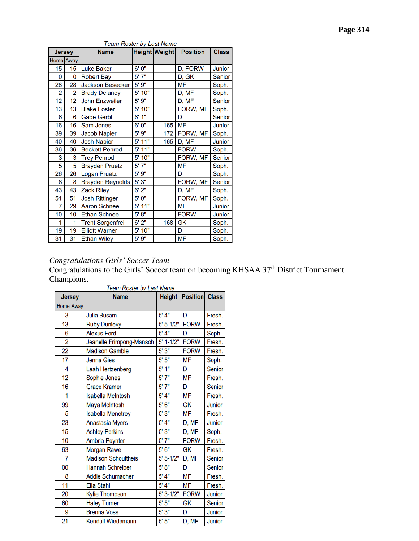| ۰.<br>. . | эσе | 4 |  |
|-----------|-----|---|--|
|-----------|-----|---|--|

| Jersey    |                | <b>Name</b>             |          | Height Weight | <b>Position</b> | <b>Class</b>  |
|-----------|----------------|-------------------------|----------|---------------|-----------------|---------------|
| Home Away |                |                         |          |               |                 |               |
| 15        | 15             | <b>Luke Baker</b>       | 6'0''    |               | D, FORW         | Junior        |
| 0         | 0              | <b>Robert Bay</b>       | 5'7"     |               | D, GK           | <b>Senior</b> |
| 28        | 28             | <b>Jackson Besecker</b> | 5'9''    |               | <b>MF</b>       | Soph.         |
| 2         | $\overline{2}$ | <b>Brady Delaney</b>    | 5' 10"   |               | D, MF           | Soph.         |
| 12        | 12             | <b>John Enzweiler</b>   | 5'9''    |               | D, MF           | Senior        |
| 13        | 13             | <b>Blake Foster</b>     | 5' 10"   |               | FORW, MF        | Soph.         |
| 6         | 6              | <b>Gabe Gerbl</b>       | 6'1"     |               | D               | Senior        |
| 16        | 16             | Sam Jones               | 6'0''    | 165           | <b>MF</b>       | Junior        |
| 39        | 39             | Jacob Napier            | 5'9''    | 172           | FORW, MF        | Soph.         |
| 40        | 40             | <b>Josh Napier</b>      | 5' 11"   | 165           | D, MF           | <b>Junior</b> |
| 36        | 36             | <b>Beckett Penrod</b>   | 5' 11"   |               | <b>FORW</b>     | Soph.         |
| 3         | 3              | <b>Trey Penrod</b>      | 5' 10"   |               | FORW, MF        | Senior        |
| 5         | 5              | <b>Brayden Pruetz</b>   | 5'7"     |               | <b>MF</b>       | Soph.         |
| 26        | 26             | <b>Logan Pruetz</b>     | 5'9''    |               | D               | Soph.         |
| 8         | 8              | <b>Brayden Reynolds</b> | 5'3"     |               | FORW, MF        | Senior        |
| 43        | 43             | <b>Zack Riley</b>       | 6'2"     |               | D, MF           | Soph.         |
| 51        | 51             | <b>Josh Rittinger</b>   | 5'0''    |               | FORW, MF        | Soph.         |
| 7         | 29             | <b>Aaron Schnee</b>     | $5'$ 11" |               | <b>MF</b>       | Junior        |
| 10        | 10             | <b>Ethan Schnee</b>     | 5' 8"    |               | <b>FORW</b>     | Junior        |
| 1         | 1              | <b>Trent Sorgenfrei</b> | 6'2"     | 168           | GK              | Soph.         |
| 19        | 19             | <b>Elliott Warner</b>   | 5' 10"   |               | D               | Soph.         |
| 31        | 31             | <b>Ethan Wiley</b>      | 5'9"     |               | <b>MF</b>       | Soph.         |

## Team Roster by Last Name

## *Congratulations Girls' Soccer Team*

Congratulations to the Girls' Soccer team on becoming KHSAA 37<sup>th</sup> District Tournament Champions. Toom Booter by Loot Nov

| <b>Jersey</b>  |  | <b>Name</b>                | <b>Height</b> | <b>Position</b> Class |        |
|----------------|--|----------------------------|---------------|-----------------------|--------|
| Home Away      |  |                            |               |                       |        |
| 3              |  | <b>Julia Busam</b>         | 5' 4"         | D                     | Fresh. |
| 13             |  | <b>Ruby Dunlevy</b>        | $5' 5 - 1/2"$ | <b>FORW</b>           | Fresh. |
| 6              |  | <b>Alexus Ford</b>         | 5' 4"         | D                     | Soph.  |
| $\overline{2}$ |  | Jeanelle Frimpong-Mansoh   | $5' 1 - 1/2"$ | <b>FORW</b>           | Fresh. |
| 22             |  | <b>Madison Gamble</b>      | 5'3''         | <b>FORW</b>           | Fresh. |
| 17             |  | Jenna Gies                 | 5'5''         | <b>MF</b>             | Soph.  |
| 4              |  | Leah Hertzenberg           | 5'1''         | D                     | Senior |
| 12             |  | Sophie Jones               | 5'7''         | <b>MF</b>             | Fresh. |
| 16             |  | <b>Grace Kramer</b>        | 5'7''         | D                     | Senior |
| 1              |  | <b>Isabella McIntosh</b>   | $5'$ 4"       | <b>MF</b>             | Fresh. |
| 99             |  | Maya McIntosh              | 5'6''         | GK                    | Junior |
| 5              |  | <b>Isabella Menetrey</b>   | 5'3''         | <b>MF</b>             | Fresh. |
| 23             |  | Anastasia Myers            | 5' 4''        | D, MF                 | Junior |
| 15             |  | <b>Ashley Perkins</b>      | 5'3''         | D, MF                 | Soph.  |
| 10             |  | Ambria Poynter             | 5'7''         | <b>FORW</b>           | Fresh. |
| 63             |  | Morgan Rawe                | 5'6''         | <b>GK</b>             | Fresh. |
| 7              |  | <b>Madison Schoultheis</b> | $5' 5 - 1/2"$ | D, MF                 | Senior |
| 00             |  | Hannah Schreiber           | 5' 8''        | D                     | Senior |
| 8              |  | Addie Schumacher           | 5' 4''        | <b>MF</b>             | Fresh. |
| 11             |  | Ella Stahl                 | 5' 4"         | <b>MF</b>             | Fresh. |
| 20             |  | Kylie Thompson             | $5' 3-1/2"$   | <b>FORW</b>           | Junior |
| 60             |  | <b>Haley Turner</b>        | 5'5''         | GK                    | Senior |
| 9              |  | <b>Brenna Voss</b>         | 5'3''         | D                     | Junior |
| 21             |  | Kendall Wiedemann          | 5'5''         | D, MF                 | Junior |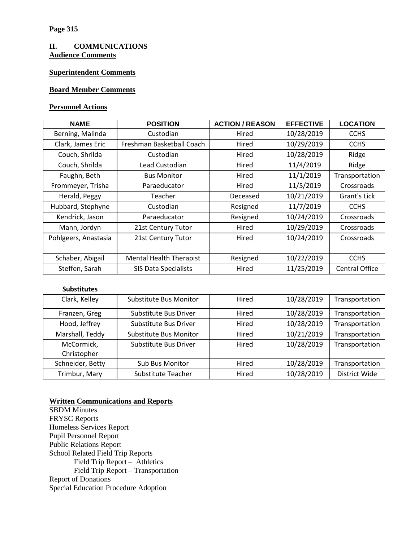### **II. COMMUNICATIONS Audience Comments**

## **Superintendent Comments**

## **Board Member Comments**

#### **Personnel Actions**

| <b>NAME</b>                                        | <b>POSITION</b>           | <b>ACTION / REASON</b> | <b>EFFECTIVE</b> | <b>LOCATION</b>       |
|----------------------------------------------------|---------------------------|------------------------|------------------|-----------------------|
| Berning, Malinda                                   | Custodian                 | Hired                  | 10/28/2019       | <b>CCHS</b>           |
| Clark, James Eric                                  | Freshman Basketball Coach | Hired                  | 10/29/2019       | <b>CCHS</b>           |
| Couch, Shrilda                                     | Custodian                 | Hired                  | 10/28/2019       | Ridge                 |
| Couch, Shrilda                                     | Lead Custodian            | Hired                  | 11/4/2019        | Ridge                 |
| Faughn, Beth                                       | <b>Bus Monitor</b>        | Hired                  | 11/1/2019        | Transportation        |
| Frommeyer, Trisha<br>Paraeducator                  |                           | Hired                  | 11/5/2019        | Crossroads            |
| Herald, Peggy<br>Teacher                           |                           | Deceased               | 10/21/2019       | Grant's Lick          |
| Hubbard, Stephyne                                  | Custodian                 |                        | 11/7/2019        | <b>CCHS</b>           |
| Kendrick, Jason<br>Paraeducator                    |                           | Resigned               | 10/24/2019       | Crossroads            |
| Mann, Jordyn<br>21st Century Tutor                 |                           | Hired                  | 10/29/2019       | Crossroads            |
| Pohlgeers, Anastasia<br>21st Century Tutor         |                           | Hired                  | 10/24/2019       | Crossroads            |
|                                                    |                           |                        |                  |                       |
| <b>Mental Health Therapist</b><br>Schaber, Abigail |                           | Resigned               | 10/22/2019       | <b>CCHS</b>           |
| Steffen, Sarah<br><b>SIS Data Specialists</b>      |                           | Hired                  | 11/25/2019       | <b>Central Office</b> |

### **Substitutes**

| Clark, Kelley                          | Substitute Bus Monitor        | Hired | 10/28/2019 | Transportation |
|----------------------------------------|-------------------------------|-------|------------|----------------|
| Franzen, Greg                          | Substitute Bus Driver         | Hired | 10/28/2019 | Transportation |
| Hood, Jeffrey<br>Substitute Bus Driver |                               | Hired | 10/28/2019 | Transportation |
| Marshall, Teddy                        | <b>Substitute Bus Monitor</b> | Hired | 10/21/2019 | Transportation |
| McCormick,                             | Substitute Bus Driver         | Hired | 10/28/2019 | Transportation |
| Christopher                            |                               |       |            |                |
| Schneider, Betty                       | <b>Sub Bus Monitor</b>        | Hired | 10/28/2019 | Transportation |
| Trimbur, Mary                          | Substitute Teacher            | Hired | 10/28/2019 | District Wide  |

### **Written Communications and Reports**

SBDM Minutes FRYSC Reports Homeless Services Report Pupil Personnel Report Public Relations Report School Related Field Trip Reports Field Trip Report – Athletics Field Trip Report – Transportation Report of Donations Special Education Procedure Adoption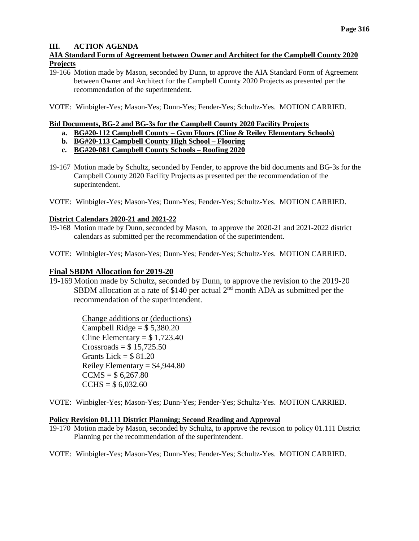### **III. ACTION AGENDA**

### **AIA Standard Form of Agreement between Owner and Architect for the Campbell County 2020 Projects**

19-166 Motion made by Mason, seconded by Dunn, to approve the AIA Standard Form of Agreement between Owner and Architect for the Campbell County 2020 Projects as presented per the recommendation of the superintendent.

VOTE: Winbigler-Yes; Mason-Yes; Dunn-Yes; Fender-Yes; Schultz-Yes. MOTION CARRIED.

### **Bid Documents, BG-2 and BG-3s for the Campbell County 2020 Facility Projects**

- **a. BG#20-112 Campbell County – Gym Floors (Cline & Reiley Elementary Schools)**
- **b. BG#20-113 Campbell County High School – Flooring**
- **c. BG#20-081 Campbell County Schools – Roofing 2020**
- 19-167 Motion made by Schultz, seconded by Fender, to approve the bid documents and BG-3s for the Campbell County 2020 Facility Projects as presented per the recommendation of the superintendent.
- VOTE: Winbigler-Yes; Mason-Yes; Dunn-Yes; Fender-Yes; Schultz-Yes. MOTION CARRIED.

### **District Calendars 2020-21 and 2021-22**

- 19-168 Motion made by Dunn, seconded by Mason, to approve the 2020-21 and 2021-2022 district calendars as submitted per the recommendation of the superintendent.
- VOTE: Winbigler-Yes; Mason-Yes; Dunn-Yes; Fender-Yes; Schultz-Yes. MOTION CARRIED.

## **Final SBDM Allocation for 2019-20**

19-169 Motion made by Schultz, seconded by Dunn, to approve the revision to the 2019-20 SBDM allocation at a rate of \$140 per actual  $2<sup>nd</sup>$  month ADA as submitted per the recommendation of the superintendent.

> Change additions or (deductions) Campbell Ridge  $= $5,380.20$ Cline Elementary =  $$1,723.40$  $Crossroads = $ 15,725,50$ Grants Lick  $=$  \$81.20 Reiley Elementary =  $$4,944.80$  $CCMS = $ 6,267.80$  $CCHS = $ 6,032.60$

VOTE: Winbigler-Yes; Mason-Yes; Dunn-Yes; Fender-Yes; Schultz-Yes. MOTION CARRIED.

### **Policy Revision 01.111 District Planning; Second Reading and Approval**

19-170 Motion made by Mason, seconded by Schultz, to approve the revision to policy 01.111 District Planning per the recommendation of the superintendent.

VOTE: Winbigler-Yes; Mason-Yes; Dunn-Yes; Fender-Yes; Schultz-Yes. MOTION CARRIED.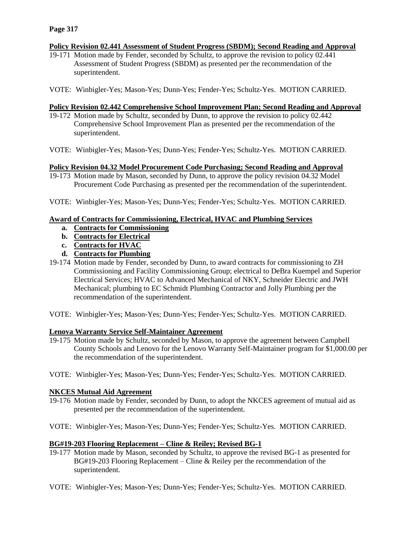### **Policy Revision 02.441 Assessment of Student Progress (SBDM); Second Reading and Approval**

- 19-171 Motion made by Fender, seconded by Schultz, to approve the revision to policy 02.441 Assessment of Student Progress (SBDM) as presented per the recommendation of the superintendent.
- VOTE: Winbigler-Yes; Mason-Yes; Dunn-Yes; Fender-Yes; Schultz-Yes. MOTION CARRIED.

### **Policy Revision 02.442 Comprehensive School Improvement Plan; Second Reading and Approval**

- 19-172 Motion made by Schultz, seconded by Dunn, to approve the revision to policy 02.442 Comprehensive School Improvement Plan as presented per the recommendation of the superintendent.
- VOTE: Winbigler-Yes; Mason-Yes; Dunn-Yes; Fender-Yes; Schultz-Yes. MOTION CARRIED.

### **Policy Revision 04.32 Model Procurement Code Purchasing; Second Reading and Approval**

- 19-173 Motion made by Mason, seconded by Dunn, to approve the policy revision 04.32 Model Procurement Code Purchasing as presented per the recommendation of the superintendent.
- VOTE: Winbigler-Yes; Mason-Yes; Dunn-Yes; Fender-Yes; Schultz-Yes. MOTION CARRIED.

### **Award of Contracts for Commissioning, Electrical, HVAC and Plumbing Services**

- **a. Contracts for Commissioning**
- **b. Contracts for Electrical**
- **c. Contracts for HVAC**
- **d. Contracts for Plumbing**
- 19-174 Motion made by Fender, seconded by Dunn, to award contracts for commissioning to ZH Commissioning and Facility Commissioning Group; electrical to DeBra Kuempel and Superior Electrical Services; HVAC to Advanced Mechanical of NKY, Schneider Electric and JWH Mechanical; plumbing to EC Schmidt Plumbing Contractor and Jolly Plumbing per the recommendation of the superintendent.
- VOTE: Winbigler-Yes; Mason-Yes; Dunn-Yes; Fender-Yes; Schultz-Yes. MOTION CARRIED.

### **Lenova Warranty Service Self-Maintainer Agreement**

- 19-175 Motion made by Schultz, seconded by Mason, to approve the agreement between Campbell County Schools and Lenovo for the Lenovo Warranty Self-Maintainer program for \$1,000.00 per the recommendation of the superintendent.
- VOTE: Winbigler-Yes; Mason-Yes; Dunn-Yes; Fender-Yes; Schultz-Yes. MOTION CARRIED.

### **NKCES Mutual Aid Agreement**

- 19-176 Motion made by Fender, seconded by Dunn, to adopt the NKCES agreement of mutual aid as presented per the recommendation of the superintendent.
- VOTE: Winbigler-Yes; Mason-Yes; Dunn-Yes; Fender-Yes; Schultz-Yes. MOTION CARRIED.

### **BG#19-203 Flooring Replacement – Cline & Reiley; Revised BG-1**

- 19-177 Motion made by Mason, seconded by Schultz, to approve the revised BG-1 as presented for  $BG#19-203$  Flooring Replacement – Cline & Reiley per the recommendation of the superintendent.
- VOTE: Winbigler-Yes; Mason-Yes; Dunn-Yes; Fender-Yes; Schultz-Yes. MOTION CARRIED.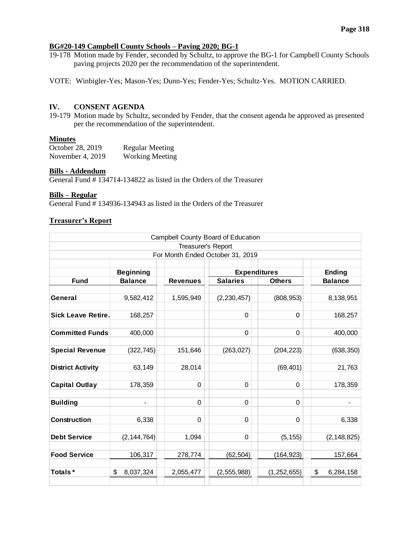#### **BG#20-149 Campbell County Schools – Paving 2020; BG-1**

- 19-178 Motion made by Fender, seconded by Schultz, to approve the BG-1 for Campbell County Schools paving projects 2020 per the recommendation of the superintendent.
- VOTE: Winbigler-Yes; Mason-Yes; Dunn-Yes; Fender-Yes; Schultz-Yes. MOTION CARRIED.

#### **IV. CONSENT AGENDA**

19-179 Motion made by Schultz, seconded by Fender, that the consent agenda be approved as presented per the recommendation of the superintendent.

#### **Minutes**

| October 28, 2019   | <b>Regular Meeting</b> |
|--------------------|------------------------|
| November 4, $2019$ | <b>Working Meeting</b> |

#### **Bills - Addendum**

General Fund # 134714-134822 as listed in the Orders of the Treasurer

### **Bills – Regular**

General Fund  $\frac{4}{3}$  134936-134943 as listed in the Orders of the Treasurer

#### **Treasurer's Report**

| Campbell County Board of Education                       |                 |                 |                 |               |                 |  |  |  |
|----------------------------------------------------------|-----------------|-----------------|-----------------|---------------|-----------------|--|--|--|
| Treasurer's Report                                       |                 |                 |                 |               |                 |  |  |  |
| For Month Ended October 31, 2019                         |                 |                 |                 |               |                 |  |  |  |
| <b>Expenditures</b><br><b>Beginning</b><br><b>Ending</b> |                 |                 |                 |               |                 |  |  |  |
| <b>Fund</b>                                              | <b>Balance</b>  | <b>Revenues</b> | <b>Salaries</b> | <b>Others</b> | <b>Balance</b>  |  |  |  |
|                                                          |                 |                 |                 |               |                 |  |  |  |
| General                                                  | 9,582,412       | 1,595,949       | (2, 230, 457)   | (808, 953)    | 8,138,951       |  |  |  |
| <b>Sick Leave Retire.</b>                                | 168,257         |                 | $\mathbf 0$     | $\Omega$      | 168,257         |  |  |  |
| <b>Committed Funds</b>                                   | 400,000         |                 | $\mathbf 0$     | $\Omega$      | 400,000         |  |  |  |
| <b>Special Revenue</b>                                   | (322, 745)      | 151,646         | (263, 027)      | (204, 223)    | (638, 350)      |  |  |  |
| <b>District Activity</b>                                 | 63,149          | 28,014          |                 | (69, 401)     | 21,763          |  |  |  |
| <b>Capital Outlay</b>                                    | 178,359         | 0               | 0               | $\Omega$      | 178,359         |  |  |  |
| <b>Building</b>                                          | $\overline{a}$  | $\Omega$        | $\Omega$        | 0             |                 |  |  |  |
| <b>Construction</b>                                      | 6,338           | 0               | 0               | $\Omega$      | 6,338           |  |  |  |
| <b>Debt Service</b>                                      | (2, 144, 764)   | 1,094           | 0               | (5, 155)      | (2, 148, 825)   |  |  |  |
| <b>Food Service</b>                                      | 106,317         | 278,774         | (62, 504)       | (164, 923)    | 157,664         |  |  |  |
| Totals*                                                  | \$<br>8,037,324 | 2,055,477       | (2, 555, 988)   | (1, 252, 655) | \$<br>6,284,158 |  |  |  |
|                                                          |                 |                 |                 |               |                 |  |  |  |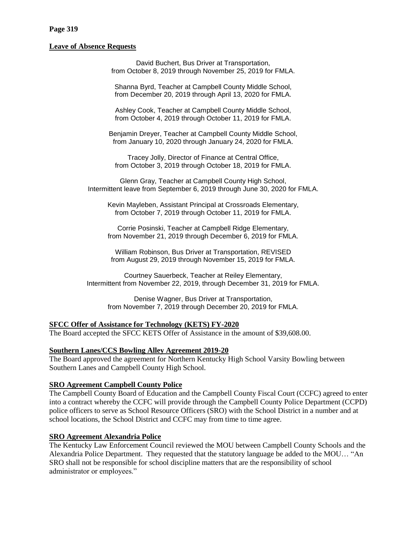#### **Page 319**

#### **Leave of Absence Requests**

David Buchert, Bus Driver at Transportation, from October 8, 2019 through November 25, 2019 for FMLA.

Shanna Byrd, Teacher at Campbell County Middle School, from December 20, 2019 through April 13, 2020 for FMLA.

Ashley Cook, Teacher at Campbell County Middle School, from October 4, 2019 through October 11, 2019 for FMLA.

Benjamin Dreyer, Teacher at Campbell County Middle School, from January 10, 2020 through January 24, 2020 for FMLA.

Tracey Jolly, Director of Finance at Central Office, from October 3, 2019 through October 18, 2019 for FMLA.

Glenn Gray, Teacher at Campbell County High School, Intermittent leave from September 6, 2019 through June 30, 2020 for FMLA.

Kevin Mayleben, Assistant Principal at Crossroads Elementary, from October 7, 2019 through October 11, 2019 for FMLA.

Corrie Posinski, Teacher at Campbell Ridge Elementary, from November 21, 2019 through December 6, 2019 for FMLA.

William Robinson, Bus Driver at Transportation, REVISED from August 29, 2019 through November 15, 2019 for FMLA.

Courtney Sauerbeck, Teacher at Reiley Elementary, Intermittent from November 22, 2019, through December 31, 2019 for FMLA.

Denise Wagner, Bus Driver at Transportation, from November 7, 2019 through December 20, 2019 for FMLA.

#### **SFCC Offer of Assistance for Technology (KETS) FY-2020**

The Board accepted the SFCC KETS Offer of Assistance in the amount of \$39,608.00.

#### **Southern Lanes/CCS Bowling Alley Agreement 2019-20**

The Board approved the agreement for Northern Kentucky High School Varsity Bowling between Southern Lanes and Campbell County High School.

#### **SRO Agreement Campbell County Police**

The Campbell County Board of Education and the Campbell County Fiscal Court (CCFC) agreed to enter into a contract whereby the CCFC will provide through the Campbell County Police Department (CCPD) police officers to serve as School Resource Officers (SRO) with the School District in a number and at school locations, the School District and CCFC may from time to time agree.

### **SRO Agreement Alexandria Police**

The Kentucky Law Enforcement Council reviewed the MOU between Campbell County Schools and the Alexandria Police Department. They requested that the statutory language be added to the MOU… "An SRO shall not be responsible for school discipline matters that are the responsibility of school administrator or employees."